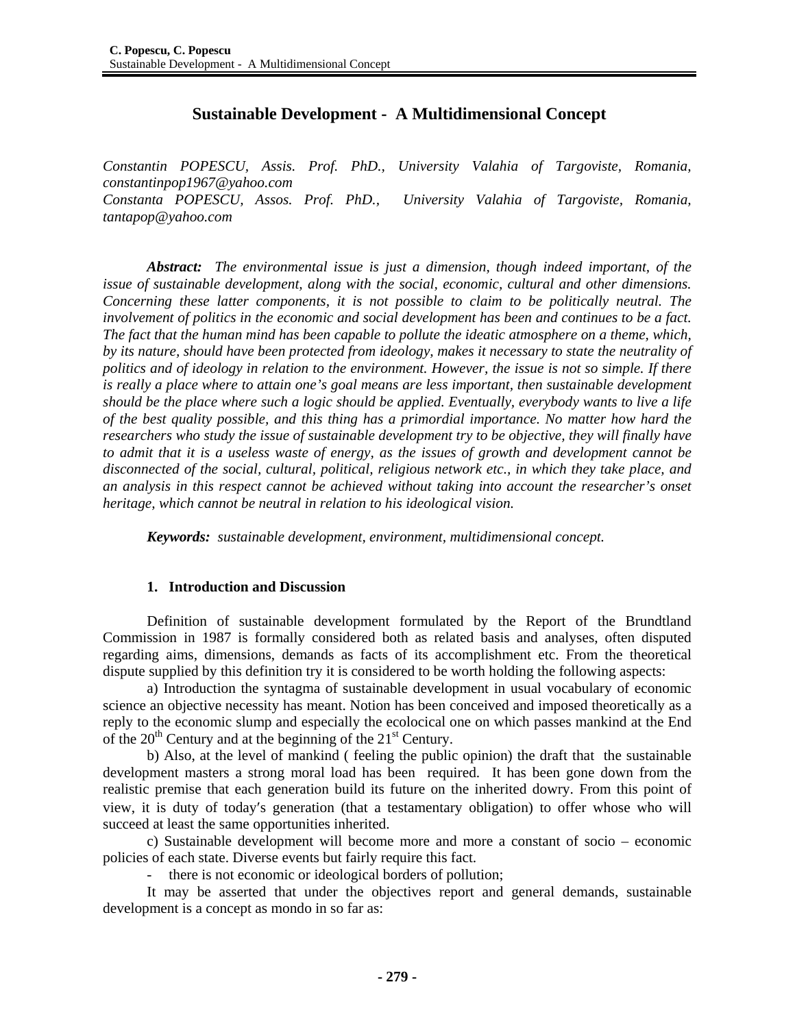## **Sustainable Development - A Multidimensional Concept**

*Constantin POPESCU, Assis. Prof. PhD., University Valahia of Targoviste, Romania, constantinpop1967@yahoo.com Constanta POPESCU, Assos. Prof. PhD., University Valahia of Targoviste, Romania, tantapop@yahoo.com* 

*Abstract: The environmental issue is just a dimension, though indeed important, of the issue of sustainable development, along with the social, economic, cultural and other dimensions. Concerning these latter components, it is not possible to claim to be politically neutral. The involvement of politics in the economic and social development has been and continues to be a fact. The fact that the human mind has been capable to pollute the ideatic atmosphere on a theme, which, by its nature, should have been protected from ideology, makes it necessary to state the neutrality of politics and of ideology in relation to the environment. However, the issue is not so simple. If there*  is really a place where to attain one's goal means are less important, then sustainable development *should be the place where such a logic should be applied. Eventually, everybody wants to live a life of the best quality possible, and this thing has a primordial importance. No matter how hard the researchers who study the issue of sustainable development try to be objective, they will finally have to admit that it is a useless waste of energy, as the issues of growth and development cannot be disconnected of the social, cultural, political, religious network etc., in which they take place, and an analysis in this respect cannot be achieved without taking into account the researcher's onset heritage, which cannot be neutral in relation to his ideological vision.* 

*Keywords: sustainable development, environment, multidimensional concept.* 

## **1. Introduction and Discussion**

Definition of sustainable development formulated by the Report of the Brundtland Commission in 1987 is formally considered both as related basis and analyses, often disputed regarding aims, dimensions, demands as facts of its accomplishment etc. From the theoretical dispute supplied by this definition try it is considered to be worth holding the following aspects:

a) Introduction the syntagma of sustainable development in usual vocabulary of economic science an objective necessity has meant. Notion has been conceived and imposed theoretically as a reply to the economic slump and especially the ecolocical one on which passes mankind at the End of the  $20<sup>th</sup>$  Century and at the beginning of the  $21<sup>st</sup>$  Century.

b) Also, at the level of mankind ( feeling the public opinion) the draft that the sustainable development masters a strong moral load has been required. It has been gone down from the realistic premise that each generation build its future on the inherited dowry. From this point of view, it is duty of today′s generation (that a testamentary obligation) to offer whose who will succeed at least the same opportunities inherited.

c) Sustainable development will become more and more a constant of socio – economic policies of each state. Diverse events but fairly require this fact.

there is not economic or ideological borders of pollution;

It may be asserted that under the objectives report and general demands, sustainable development is a concept as mondo in so far as: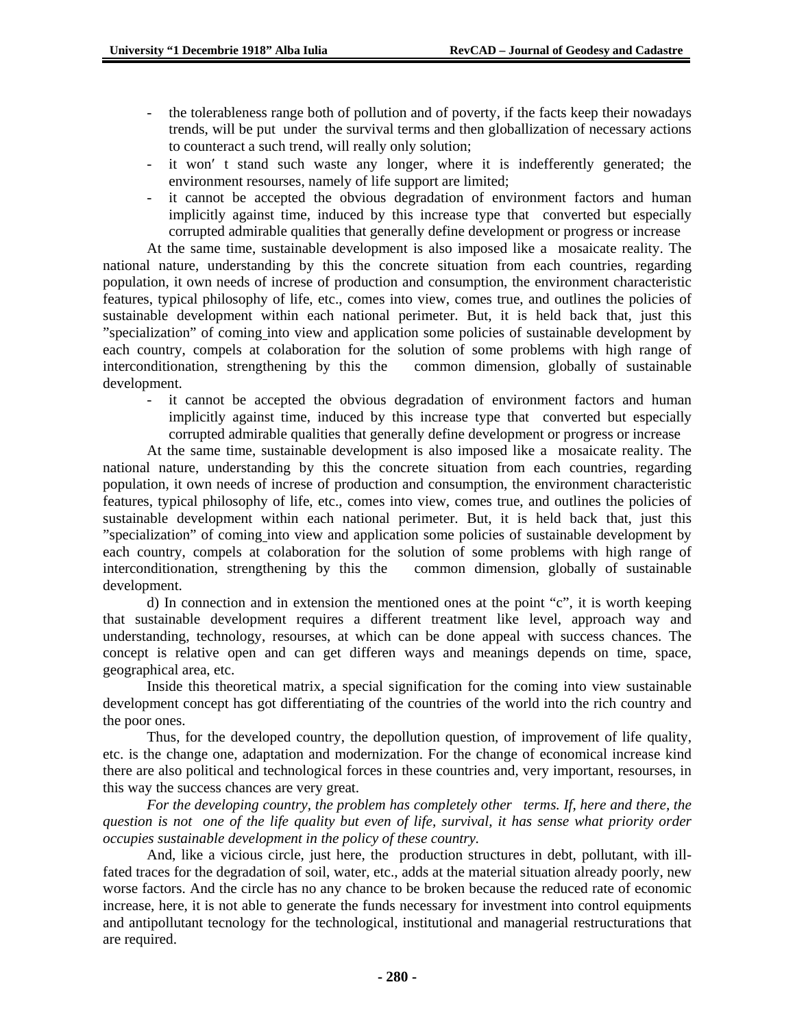- the tolerableness range both of pollution and of poverty, if the facts keep their nowadays trends, will be put under the survival terms and then globallization of necessary actions to counteract a such trend, will really only solution;
- it won' t stand such waste any longer, where it is indefferently generated; the environment resourses, namely of life support are limited;
- it cannot be accepted the obvious degradation of environment factors and human implicitly against time, induced by this increase type that converted but especially corrupted admirable qualities that generally define development or progress or increase

At the same time, sustainable development is also imposed like a mosaicate reality. The national nature, understanding by this the concrete situation from each countries, regarding population, it own needs of increse of production and consumption, the environment characteristic features, typical philosophy of life, etc., comes into view, comes true, and outlines the policies of sustainable development within each national perimeter. But, it is held back that, just this "specialization" of coming into view and application some policies of sustainable development by each country, compels at colaboration for the solution of some problems with high range of interconditionation, strengthening by this the common dimension, globally of sustainable development.

- it cannot be accepted the obvious degradation of environment factors and human implicitly against time, induced by this increase type that converted but especially corrupted admirable qualities that generally define development or progress or increase

At the same time, sustainable development is also imposed like a mosaicate reality. The national nature, understanding by this the concrete situation from each countries, regarding population, it own needs of increse of production and consumption, the environment characteristic features, typical philosophy of life, etc., comes into view, comes true, and outlines the policies of sustainable development within each national perimeter. But, it is held back that, just this "specialization" of coming into view and application some policies of sustainable development by each country, compels at colaboration for the solution of some problems with high range of interconditionation, strengthening by this the common dimension, globally of sustainable development.

d) In connection and in extension the mentioned ones at the point "c", it is worth keeping that sustainable development requires a different treatment like level, approach way and understanding, technology, resourses, at which can be done appeal with success chances. The concept is relative open and can get differen ways and meanings depends on time, space, geographical area, etc.

Inside this theoretical matrix, a special signification for the coming into view sustainable development concept has got differentiating of the countries of the world into the rich country and the poor ones.

Thus, for the developed country, the depollution question, of improvement of life quality, etc. is the change one, adaptation and modernization. For the change of economical increase kind there are also political and technological forces in these countries and, very important, resourses, in this way the success chances are very great.

*For the developing country, the problem has completely other terms. If, here and there, the question is not one of the life quality but even of life, survival, it has sense what priority order occupies sustainable development in the policy of these country.* 

And, like a vicious circle, just here, the production structures in debt, pollutant, with illfated traces for the degradation of soil, water, etc., adds at the material situation already poorly, new worse factors. And the circle has no any chance to be broken because the reduced rate of economic increase, here, it is not able to generate the funds necessary for investment into control equipments and antipollutant tecnology for the technological, institutional and managerial restructurations that are required.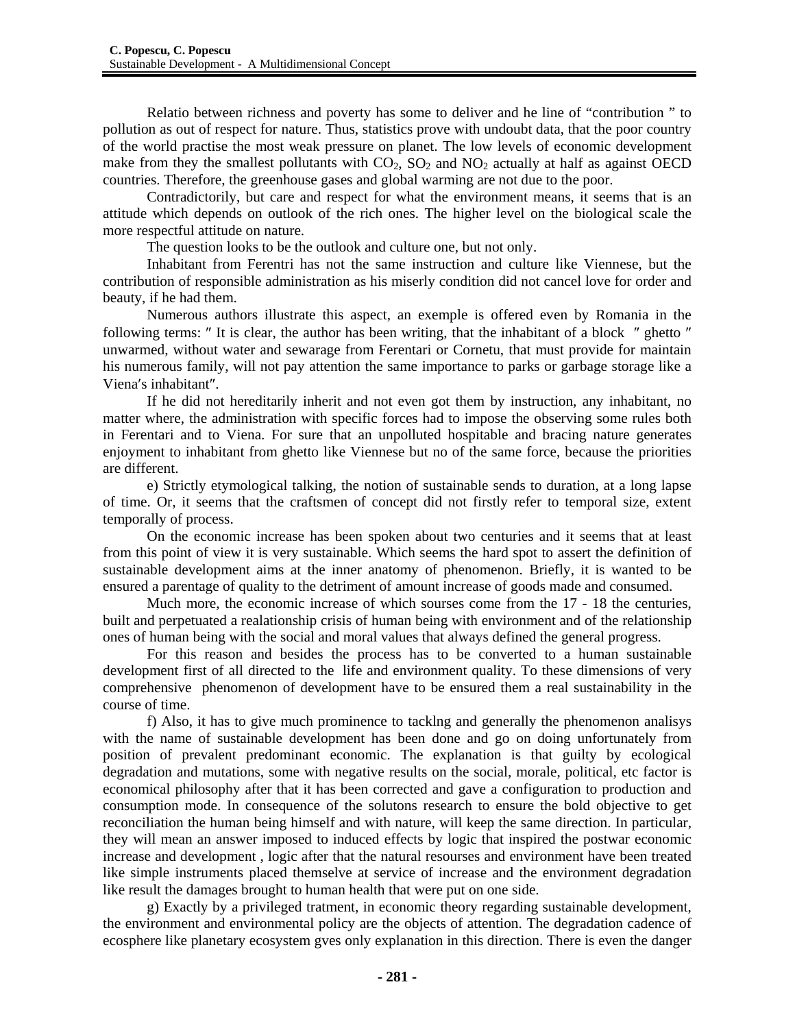Relatio between richness and poverty has some to deliver and he line of "contribution " to pollution as out of respect for nature. Thus, statistics prove with undoubt data, that the poor country of the world practise the most weak pressure on planet. The low levels of economic development make from they the smallest pollutants with  $CO_2$ ,  $SO_2$  and  $NO_2$  actually at half as against OECD countries. Therefore, the greenhouse gases and global warming are not due to the poor.

Contradictorily, but care and respect for what the environment means, it seems that is an attitude which depends on outlook of the rich ones. The higher level on the biological scale the more respectful attitude on nature.

The question looks to be the outlook and culture one, but not only.

Inhabitant from Ferentri has not the same instruction and culture like Viennese, but the contribution of responsible administration as his miserly condition did not cancel love for order and beauty, if he had them.

Numerous authors illustrate this aspect, an exemple is offered even by Romania in the following terms: ″ It is clear, the author has been writing, that the inhabitant of a block ″ ghetto ″ unwarmed, without water and sewarage from Ferentari or Cornetu, that must provide for maintain his numerous family, will not pay attention the same importance to parks or garbage storage like a Viena′s inhabitant″.

If he did not hereditarily inherit and not even got them by instruction, any inhabitant, no matter where, the administration with specific forces had to impose the observing some rules both in Ferentari and to Viena. For sure that an unpolluted hospitable and bracing nature generates enjoyment to inhabitant from ghetto like Viennese but no of the same force, because the priorities are different.

e) Strictly etymological talking, the notion of sustainable sends to duration, at a long lapse of time. Or, it seems that the craftsmen of concept did not firstly refer to temporal size, extent temporally of process.

On the economic increase has been spoken about two centuries and it seems that at least from this point of view it is very sustainable. Which seems the hard spot to assert the definition of sustainable development aims at the inner anatomy of phenomenon. Briefly, it is wanted to be ensured a parentage of quality to the detriment of amount increase of goods made and consumed.

Much more, the economic increase of which sourses come from the 17 - 18 the centuries, built and perpetuated a realationship crisis of human being with environment and of the relationship ones of human being with the social and moral values that always defined the general progress.

For this reason and besides the process has to be converted to a human sustainable development first of all directed to the life and environment quality. To these dimensions of very comprehensive phenomenon of development have to be ensured them a real sustainability in the course of time.

f) Also, it has to give much prominence to tacklng and generally the phenomenon analisys with the name of sustainable development has been done and go on doing unfortunately from position of prevalent predominant economic. The explanation is that guilty by ecological degradation and mutations, some with negative results on the social, morale, political, etc factor is economical philosophy after that it has been corrected and gave a configuration to production and consumption mode. In consequence of the solutons research to ensure the bold objective to get reconciliation the human being himself and with nature, will keep the same direction. In particular, they will mean an answer imposed to induced effects by logic that inspired the postwar economic increase and development , logic after that the natural resourses and environment have been treated like simple instruments placed themselve at service of increase and the environment degradation like result the damages brought to human health that were put on one side.

g) Exactly by a privileged tratment, in economic theory regarding sustainable development, the environment and environmental policy are the objects of attention. The degradation cadence of ecosphere like planetary ecosystem gves only explanation in this direction. There is even the danger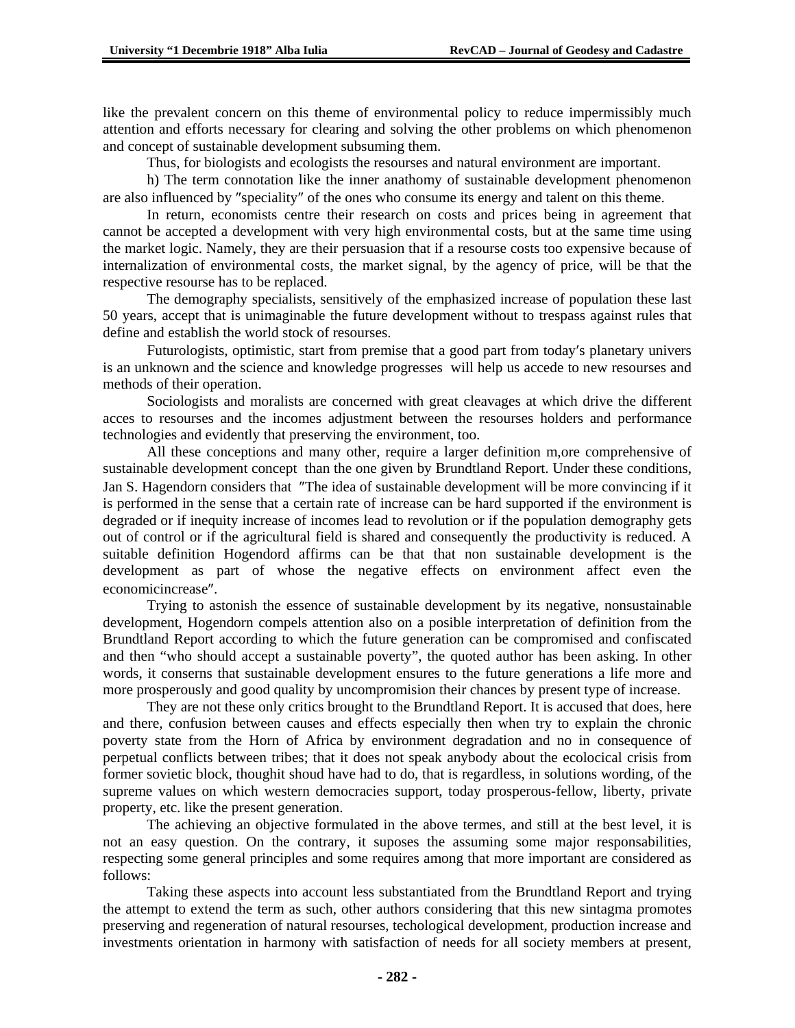like the prevalent concern on this theme of environmental policy to reduce impermissibly much attention and efforts necessary for clearing and solving the other problems on which phenomenon and concept of sustainable development subsuming them.

Thus, for biologists and ecologists the resourses and natural environment are important.

h) The term connotation like the inner anathomy of sustainable development phenomenon are also influenced by ″speciality″ of the ones who consume its energy and talent on this theme.

In return, economists centre their research on costs and prices being in agreement that cannot be accepted a development with very high environmental costs, but at the same time using the market logic. Namely, they are their persuasion that if a resourse costs too expensive because of internalization of environmental costs, the market signal, by the agency of price, will be that the respective resourse has to be replaced.

The demography specialists, sensitively of the emphasized increase of population these last 50 years, accept that is unimaginable the future development without to trespass against rules that define and establish the world stock of resourses.

Futurologists, optimistic, start from premise that a good part from today′s planetary univers is an unknown and the science and knowledge progresses will help us accede to new resourses and methods of their operation.

Sociologists and moralists are concerned with great cleavages at which drive the different acces to resourses and the incomes adjustment between the resourses holders and performance technologies and evidently that preserving the environment, too.

All these conceptions and many other, require a larger definition m,ore comprehensive of sustainable development concept than the one given by Brundtland Report. Under these conditions, Jan S. Hagendorn considers that ″The idea of sustainable development will be more convincing if it is performed in the sense that a certain rate of increase can be hard supported if the environment is degraded or if inequity increase of incomes lead to revolution or if the population demography gets out of control or if the agricultural field is shared and consequently the productivity is reduced. A suitable definition Hogendord affirms can be that that non sustainable development is the development as part of whose the negative effects on environment affect even the economicincrease″.

Trying to astonish the essence of sustainable development by its negative, nonsustainable development, Hogendorn compels attention also on a posible interpretation of definition from the Brundtland Report according to which the future generation can be compromised and confiscated and then "who should accept a sustainable poverty", the quoted author has been asking. In other words, it conserns that sustainable development ensures to the future generations a life more and more prosperously and good quality by uncompromision their chances by present type of increase.

They are not these only critics brought to the Brundtland Report. It is accused that does, here and there, confusion between causes and effects especially then when try to explain the chronic poverty state from the Horn of Africa by environment degradation and no in consequence of perpetual conflicts between tribes; that it does not speak anybody about the ecolocical crisis from former sovietic block, thoughit shoud have had to do, that is regardless, in solutions wording, of the supreme values on which western democracies support, today prosperous-fellow, liberty, private property, etc. like the present generation.

The achieving an objective formulated in the above termes, and still at the best level, it is not an easy question. On the contrary, it suposes the assuming some major responsabilities, respecting some general principles and some requires among that more important are considered as follows:

Taking these aspects into account less substantiated from the Brundtland Report and trying the attempt to extend the term as such, other authors considering that this new sintagma promotes preserving and regeneration of natural resourses, techological development, production increase and investments orientation in harmony with satisfaction of needs for all society members at present,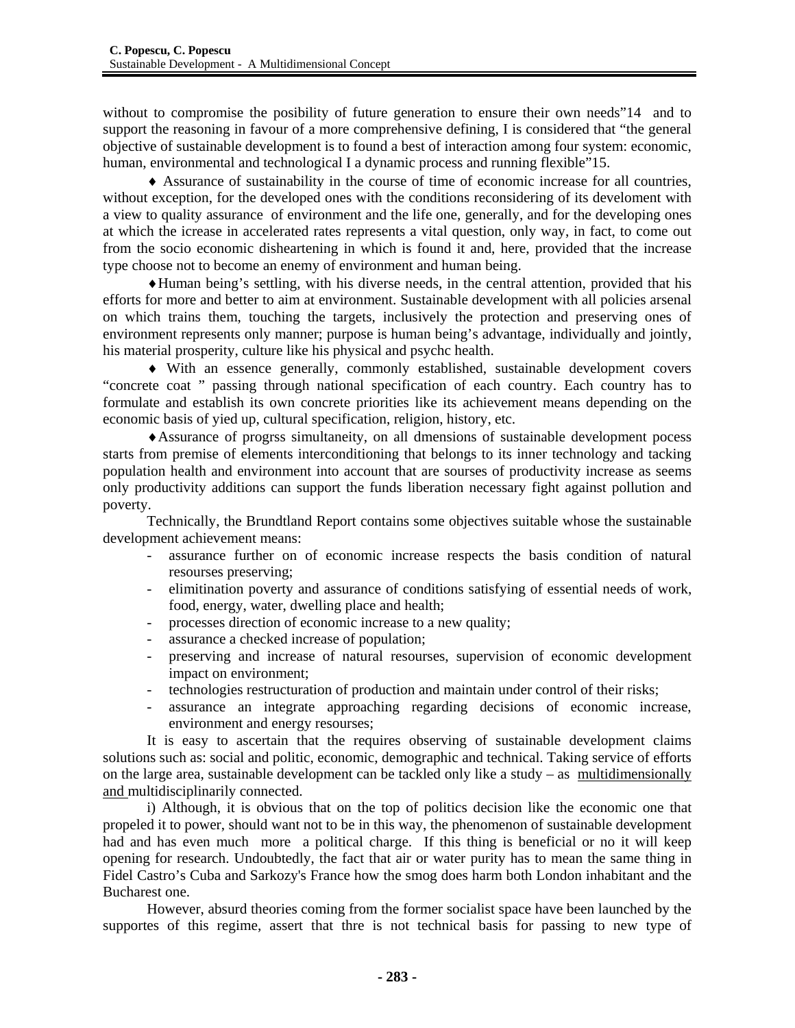without to compromise the posibility of future generation to ensure their own needs"14 and to support the reasoning in favour of a more comprehensive defining, I is considered that "the general objective of sustainable development is to found a best of interaction among four system: economic, human, environmental and technological I a dynamic process and running flexible"15.

♦ Assurance of sustainability in the course of time of economic increase for all countries, without exception, for the developed ones with the conditions reconsidering of its develoment with a view to quality assurance of environment and the life one, generally, and for the developing ones at which the icrease in accelerated rates represents a vital question, only way, in fact, to come out from the socio economic disheartening in which is found it and, here, provided that the increase type choose not to become an enemy of environment and human being.

♦Human being's settling, with his diverse needs, in the central attention, provided that his efforts for more and better to aim at environment. Sustainable development with all policies arsenal on which trains them, touching the targets, inclusively the protection and preserving ones of environment represents only manner; purpose is human being's advantage, individually and jointly, his material prosperity, culture like his physical and psychc health.

♦ With an essence generally, commonly established, sustainable development covers "concrete coat " passing through national specification of each country. Each country has to formulate and establish its own concrete priorities like its achievement means depending on the economic basis of yied up, cultural specification, religion, history, etc.

♦Assurance of progrss simultaneity, on all dmensions of sustainable development pocess starts from premise of elements interconditioning that belongs to its inner technology and tacking population health and environment into account that are sourses of productivity increase as seems only productivity additions can support the funds liberation necessary fight against pollution and poverty.

Technically, the Brundtland Report contains some objectives suitable whose the sustainable development achievement means:

- assurance further on of economic increase respects the basis condition of natural resourses preserving;
- elimitination poverty and assurance of conditions satisfying of essential needs of work, food, energy, water, dwelling place and health;
- processes direction of economic increase to a new quality;
- assurance a checked increase of population;
- preserving and increase of natural resourses, supervision of economic development impact on environment;
- technologies restructuration of production and maintain under control of their risks;
- assurance an integrate approaching regarding decisions of economic increase, environment and energy resourses;

It is easy to ascertain that the requires observing of sustainable development claims solutions such as: social and politic, economic, demographic and technical. Taking service of efforts on the large area, sustainable development can be tackled only like a study – as multidimensionally and multidisciplinarily connected.

i) Although, it is obvious that on the top of politics decision like the economic one that propeled it to power, should want not to be in this way, the phenomenon of sustainable development had and has even much more a political charge. If this thing is beneficial or no it will keep opening for research. Undoubtedly, the fact that air or water purity has to mean the same thing in Fidel Castro's Cuba and Sarkozy's France how the smog does harm both London inhabitant and the Bucharest one.

However, absurd theories coming from the former socialist space have been launched by the supportes of this regime, assert that thre is not technical basis for passing to new type of